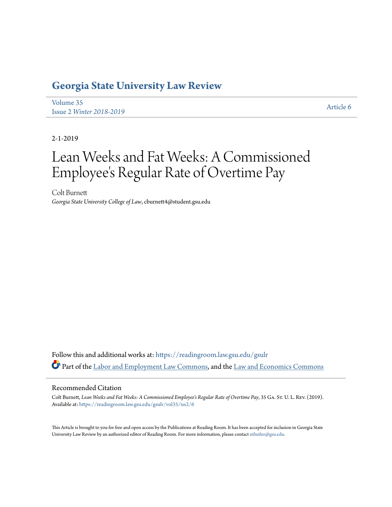# **[Georgia State University Law Review](https://readingroom.law.gsu.edu/gsulr?utm_source=readingroom.law.gsu.edu%2Fgsulr%2Fvol35%2Fiss2%2F6&utm_medium=PDF&utm_campaign=PDFCoverPages)**

[Volume 35](https://readingroom.law.gsu.edu/gsulr/vol35?utm_source=readingroom.law.gsu.edu%2Fgsulr%2Fvol35%2Fiss2%2F6&utm_medium=PDF&utm_campaign=PDFCoverPages) Issue 2 *[Winter 2018-2019](https://readingroom.law.gsu.edu/gsulr/vol35/iss2?utm_source=readingroom.law.gsu.edu%2Fgsulr%2Fvol35%2Fiss2%2F6&utm_medium=PDF&utm_campaign=PDFCoverPages)* [Article 6](https://readingroom.law.gsu.edu/gsulr/vol35/iss2/6?utm_source=readingroom.law.gsu.edu%2Fgsulr%2Fvol35%2Fiss2%2F6&utm_medium=PDF&utm_campaign=PDFCoverPages)

2-1-2019

# Lean Weeks and Fat Weeks: A Commissioned Employee 's Regular Rate of Overtime Pay

Colt Burnett *Georgia State University College of Law*, cburnett4@student.gsu.edu

Follow this and additional works at: [https://readingroom.law.gsu.edu/gsulr](https://readingroom.law.gsu.edu/gsulr?utm_source=readingroom.law.gsu.edu%2Fgsulr%2Fvol35%2Fiss2%2F6&utm_medium=PDF&utm_campaign=PDFCoverPages) Part of the [Labor and Employment Law Commons,](http://network.bepress.com/hgg/discipline/909?utm_source=readingroom.law.gsu.edu%2Fgsulr%2Fvol35%2Fiss2%2F6&utm_medium=PDF&utm_campaign=PDFCoverPages) and the [Law and Economics Commons](http://network.bepress.com/hgg/discipline/612?utm_source=readingroom.law.gsu.edu%2Fgsulr%2Fvol35%2Fiss2%2F6&utm_medium=PDF&utm_campaign=PDFCoverPages)

# Recommended Citation

Colt Burnett, *Lean Weeks and Fat Weeks: A Commissioned Employee's Regular Rate of Overtime Pay*, 35 GA. St. U. L. Rev. (2019). Available at: [https://readingroom.law.gsu.edu/gsulr/vol35/iss2/6](https://readingroom.law.gsu.edu/gsulr/vol35/iss2/6?utm_source=readingroom.law.gsu.edu%2Fgsulr%2Fvol35%2Fiss2%2F6&utm_medium=PDF&utm_campaign=PDFCoverPages)

This Article is brought to you for free and open access by the Publications at Reading Room. It has been accepted for inclusion in Georgia State University Law Review by an authorized editor of Reading Room. For more information, please contact [mbutler@gsu.edu.](mailto:mbutler@gsu.edu)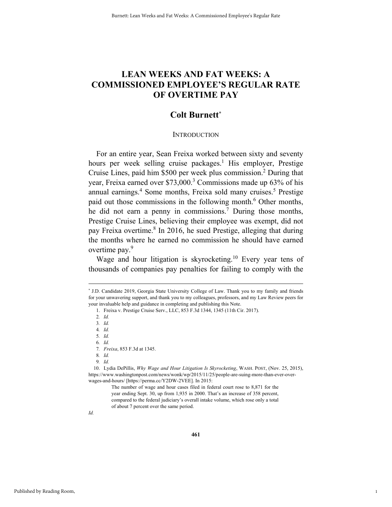# **LEAN WEEKS AND FAT WEEKS: A COMMISSIONED EMPLOYEE'S REGULAR RATE OF OVERTIME PAY**

# **Colt Burnett\***

#### **INTRODUCTION**

For an entire year, Sean Freixa worked between sixty and seventy hours per week selling cruise packages.<sup>1</sup> His employer, Prestige Cruise Lines, paid him \$500 per week plus commission.<sup>2</sup> During that year, Freixa earned over \$73,000.<sup>3</sup> Commissions made up 63% of his annual earnings.<sup>4</sup> Some months, Freixa sold many cruises.<sup>5</sup> Prestige paid out those commissions in the following month.<sup>6</sup> Other months, he did not earn a penny in commissions.<sup>7</sup> During those months, Prestige Cruise Lines, believing their employee was exempt, did not pay Freixa overtime.<sup>8</sup> In 2016, he sued Prestige, alleging that during the months where he earned no commission he should have earned overtime pay.9

Wage and hour litigation is skyrocketing.<sup>10</sup> Every year tens of thousands of companies pay penalties for failing to comply with the

2*. Id.* 

3*. Id.*

4*. Id.*

5*. Id.*

6*. Id.*

7*. Freixa*, 853 F.3d at 1345.

8*. Id.*

9*. Id.*

 10. Lydia DePillis, *Why Wage and Hour Litigation Is Skyrocketing*, WASH. POST, (Nov. 25, 2015), https://www.washingtonpost.com/news/wonk/wp/2015/11/25/people-are-suing-more-than-ever-overwages-and-hours/ [https://perma.cc/Y2DW-2VEE]. In 2015:

> The number of wage and hour cases filed in federal court rose to 8,871 for the year ending Sept. 30, up from 1,935 in 2000. That's an increase of 358 percent, compared to the federal judiciary's overall intake volume, which rose only a total of about 7 percent over the same period.

*Id.*

1

 <sup>\*</sup> \* J.D. Candidate 2019, Georgia State University College of Law. Thank you to my family and friends for your unwavering support, and thank you to my colleagues, professors, and my Law Review peers for your invaluable help and guidance in completing and publishing this Note.

 <sup>1.</sup> Freixa v. Prestige Cruise Serv., LLC, 853 F.3d 1344, 1345 (11th Cir. 2017).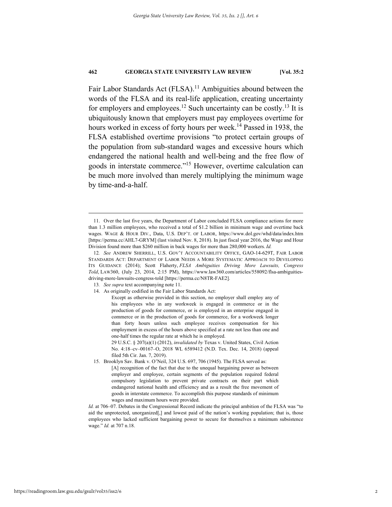Fair Labor Standards Act (FLSA).<sup>11</sup> Ambiguities abound between the words of the FLSA and its real-life application, creating uncertainty for employers and employees.<sup>12</sup> Such uncertainty can be costly.<sup>13</sup> It is ubiquitously known that employers must pay employees overtime for hours worked in excess of forty hours per week.<sup>14</sup> Passed in 1938, the FLSA established overtime provisions "to protect certain groups of the population from sub-standard wages and excessive hours which endangered the national health and well-being and the free flow of goods in interstate commerce."15 However, overtime calculation can be much more involved than merely multiplying the minimum wage by time-and-a-half.

- 13*. See supra* text accompanying note 11.
- 14. As originally codified in the Fair Labor Standards Act:

 <sup>11.</sup> Over the last five years, the Department of Labor concluded FLSA compliance actions for more than 1.3 million employees, who received a total of \$1.2 billion in minimum wage and overtime back wages. WAGE & HOUR DIV., Data, U.S. DEP'T. OF LABOR, https://www.dol.gov/whd/data/index.htm [https://perma.cc/AHL7-GRYM] (last visited Nov. 8, 2018). In just fiscal year 2016, the Wage and Hour Division found more than \$260 million in back wages for more than 280,000 workers. *Id.*

<sup>12</sup>*. See* ANDREW SHERRILL, U.S. GOV'T ACCOUNTABILITY OFFICE, GAO-14-629T, FAIR LABOR STANDARDS ACT: DEPARTMENT OF LABOR NEEDS A MORE SYSTEMATIC APPROACH TO DEVELOPING ITS GUIDANCE (2014); Scott Flaherty, *FLSA Ambiguities Driving More Lawsuits, Congress Told*, LAW360, (July 23, 2014, 2:15 PM), https://www.law360.com/articles/558092/flsa-ambiguitiesdriving-more-lawsuits-congress-told [https://perma.cc/N8TR-FAE2].

Except as otherwise provided in this section, no employer shall employ any of his employees who in any workweek is engaged in commerce or in the production of goods for commerce, or is employed in an enterprise engaged in commerce or in the production of goods for commerce, for a workweek longer than forty hours unless such employee receives compensation for his employment in excess of the hours above specified at a rate not less than one and one-half times the regular rate at which he is employed.

<sup>29</sup> U.S.C. § 207(a)(1) (2012), *invalidated by* Texas v. United States, Civil Action No. 4:18–cv–00167–O, 2018 WL 6589412 (N.D. Tex. Dec. 14, 2018) (appeal filed 5th Cir. Jan. 7, 2019).

 <sup>15.</sup> Brooklyn Sav. Bank v. O'Neil, 324 U.S. 697, 706 (1945). The FLSA served as:

<sup>[</sup>A] recognition of the fact that due to the unequal bargaining power as between employer and employee, certain segments of the population required federal compulsory legislation to prevent private contracts on their part which endangered national health and efficiency and as a result the free movement of goods in interstate commerce. To accomplish this purpose standards of minimum wages and maximum hours were provided.

*Id.* at 706–07. Debates in the Congressional Record indicate the principal ambition of the FLSA was "to aid the unprotected, unorganized[,] and lowest paid of the nation's working population; that is, those employees who lacked sufficient bargaining power to secure for themselves a minimum subsistence wage." *Id.* at 707 n.18.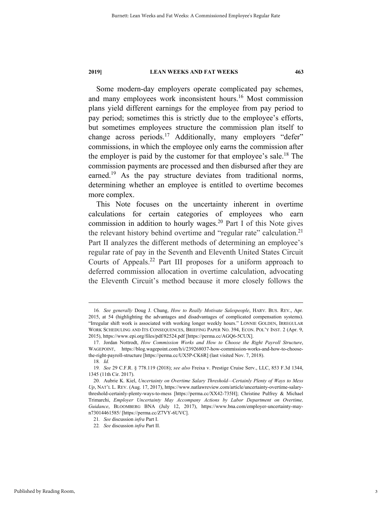Some modern-day employers operate complicated pay schemes, and many employees work inconsistent hours.<sup>16</sup> Most commission plans yield different earnings for the employee from pay period to pay period; sometimes this is strictly due to the employee's efforts, but sometimes employees structure the commission plan itself to change across periods.<sup>17</sup> Additionally, many employers "defer" commissions, in which the employee only earns the commission after the employer is paid by the customer for that employee's sale.<sup>18</sup> The commission payments are processed and then disbursed after they are earned.<sup>19</sup> As the pay structure deviates from traditional norms, determining whether an employee is entitled to overtime becomes more complex.

This Note focuses on the uncertainty inherent in overtime calculations for certain categories of employees who earn commission in addition to hourly wages.<sup>20</sup> Part I of this Note gives the relevant history behind overtime and "regular rate" calculation.<sup>21</sup> Part II analyzes the different methods of determining an employee's regular rate of pay in the Seventh and Eleventh United States Circuit Courts of Appeals.22 Part III proposes for a uniform approach to deferred commission allocation in overtime calculation, advocating the Eleventh Circuit's method because it more closely follows the

 <sup>16</sup>*. See generally* Doug J. Chung, *How to Really Motivate Salespeople*, HARV. BUS. REV., Apr. 2015, at 54 (highlighting the advantages and disadvantages of complicated compensation systems). "Irregular shift work is associated with working longer weekly hours." LONNIE GOLDEN, IRREGULAR WORK SCHEDULING AND ITS CONSEQUENCES, BRIEFING PAPER NO. 394, ECON. POL'Y INST. 2 (Apr. 9, 2015), https://www.epi.org/files/pdf/82524.pdf [https://perma.cc/AGQ6-5CUX].

 <sup>17.</sup> Jordan Nottrodt, *How Commission Works and How to Choose the Right Payroll Structure*, WAGEPOINT, https://blog.wagepoint.com/h/i/239268037-how-commission-works-and-how-to-choosethe-right-payroll-structure [https://perma.cc/UX5P-CK6R] (last visited Nov. 7, 2018).

<sup>18</sup>*. Id.* 

<sup>19</sup>*. See* 29 C.F.R. § 778.119 (2018); *see also* Freixa v. Prestige Cruise Serv., LLC, 853 F.3d 1344, 1345 (11th Cir. 2017).

 <sup>20.</sup> Aubrie K. Kiel, *Uncertainty on Overtime Salary Threshold—Certainly Plenty of Ways to Mess Up*, NAT'L L. REV. (Aug. 17, 2017), https://www.natlawreview.com/article/uncertainty-overtime-salarythreshold-certainly-plenty-ways-to-mess [https://perma.cc/XX42-735H]; Christine Pulfrey & Michael Trimarchi, *Employer Uncertainty May Accompany Actions by Labor Department on Overtime, Guidance*, BLOOMBERG BNA (July 12, 2017), https://www.bna.com/employer-uncertainty-mayn73014461585/ [https://perma.cc/Z7VY-6UVC].

<sup>21</sup>*. See* discussion *infra* Part I.

<sup>22</sup>*. See* discussion *infra* Part II.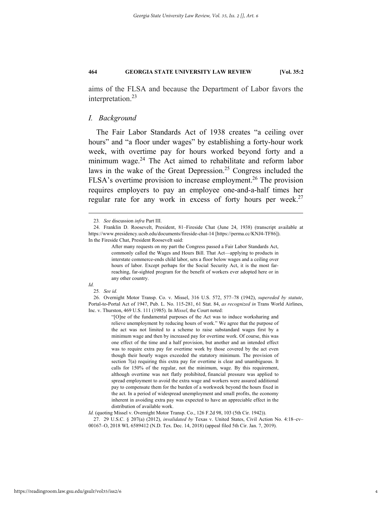aims of the FLSA and because the Department of Labor favors the interpretation.<sup>23</sup>

#### *I. Background*

The Fair Labor Standards Act of 1938 creates "a ceiling over hours" and "a floor under wages" by establishing a forty-hour work week, with overtime pay for hours worked beyond forty and a minimum wage. $24$  The Act aimed to rehabilitate and reform labor laws in the wake of the Great Depression.25 Congress included the FLSA's overtime provision to increase employment.<sup>26</sup> The provision requires employers to pay an employee one-and-a-half times her regular rate for any work in excess of forty hours per week. $27$ 

#### *Id.*

"[O]ne of the fundamental purposes of the Act was to induce worksharing and relieve unemployment by reducing hours of work." We agree that the purpose of the act was not limited to a scheme to raise substandard wages first by a minimum wage and then by increased pay for overtime work. Of course, this was one effect of the time and a half provision, but another and an intended effect was to require extra pay for overtime work by those covered by the act even though their hourly wages exceeded the statutory minimum. The provision of section 7(a) requiring this extra pay for overtime is clear and unambiguous. It calls for 150% of the regular, not the minimum, wage. By this requirement, although overtime was not flatly prohibited, financial pressure was applied to spread employment to avoid the extra wage and workers were assured additional pay to compensate them for the burden of a workweek beyond the hours fixed in the act. In a period of widespread unemployment and small profits, the economy inherent in avoiding extra pay was expected to have an appreciable effect in the distribution of available work.

 <sup>23</sup>*. See* discussion *infra* Part III.

 <sup>24.</sup> Franklin D. Roosevelt, President, 81–Fireside Chat (June 24, 1938) (transcript available at https://www.presidency.ucsb.edu/documents/fireside-chat-14 [https://perma.cc/KNJ4-TF86]). In the Fireside Chat, President Roosevelt said:

After many requests on my part the Congress passed a Fair Labor Standards Act, commonly called the Wages and Hours Bill. That Act—applying to products in interstate commerce-ends child labor, sets a floor below wages and a ceiling over hours of labor. Except perhaps for the Social Security Act, it is the most farreaching, far-sighted program for the benefit of workers ever adopted here or in any other country.

<sup>25</sup>*. See id.*

 <sup>26.</sup> Overnight Motor Transp. Co. v. Missel, 316 U.S. 572, 577–78 (1942), *supereded by statute*, Portal-to-Portal Act of 1947, Pub. L. No. 115-281, 61 Stat. 84, *as recognized in* Trans World Airlines, Inc. v. Thurston, 469 U.S. 111 (1985). In *Missel*, the Court noted:

*Id.* (quoting Missel v. Overnight Motor Transp. Co., 126 F.2d 98, 103 (5th Cir. 1942)).

 <sup>27. 29</sup> U.S.C. § 207(a) (2012), *invalidated by* Texas v. United States, Civil Action No. 4:18–cv– 00167–O, 2018 WL 6589412 (N.D. Tex. Dec. 14, 2018) (appeal filed 5th Cir. Jan. 7, 2019).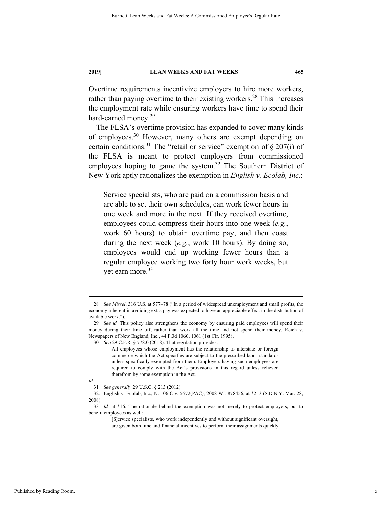Overtime requirements incentivize employers to hire more workers, rather than paying overtime to their existing workers.<sup>28</sup> This increases the employment rate while ensuring workers have time to spend their hard-earned money.<sup>29</sup>

The FLSA's overtime provision has expanded to cover many kinds of employees.30 However, many others are exempt depending on certain conditions.<sup>31</sup> The "retail or service" exemption of  $\S 207(i)$  of the FLSA is meant to protect employers from commissioned employees hoping to game the system.<sup>32</sup> The Southern District of New York aptly rationalizes the exemption in *English v. Ecolab, Inc.*:

Service specialists, who are paid on a commission basis and are able to set their own schedules, can work fewer hours in one week and more in the next. If they received overtime, employees could compress their hours into one week (*e.g.*, work 60 hours) to obtain overtime pay, and then coast during the next week (*e.g.*, work 10 hours). By doing so, employees would end up working fewer hours than a regular employee working two forty hour work weeks, but yet earn more.<sup>33</sup>

 <sup>28</sup>*. See Missel*, 316 U.S. at 577–78 ("In a period of widespread unemployment and small profits, the economy inherent in avoiding extra pay was expected to have an appreciable effect in the distribution of available work.").

<sup>29</sup>*. See id.* This policy also strengthens the economy by ensuring paid employees will spend their money during their time off, rather than work all the time and not spend their money. Reich v. Newspapers of New England, Inc., 44 F.3d 1060, 1061 (1st Cir. 1995).

<sup>30</sup>*. See* 29 C.F.R. § 778.0 (2018). That regulation provides:

All employees whose employment has the relationship to interstate or foreign commerce which the Act specifies are subject to the prescribed labor standards unless specifically exempted from them. Employers having such employees are required to comply with the Act's provisions in this regard unless relieved therefrom by some exemption in the Act.

*Id.* 

<sup>31</sup>*. See generally* 29 U.S.C. § 213 (2012).

 <sup>32.</sup> English v. Ecolab, Inc., No. 06 Civ. 5672(PAC), 2008 WL 878456, at \*2–3 (S.D.N.Y. Mar. 28, 2008).

<sup>33</sup>*. Id.* at \*16. The rationale behind the exemption was not merely to protect employers, but to benefit employees as well:

<sup>[</sup>S]ervice specialists, who work independently and without significant oversight,

are given both time and financial incentives to perform their assignments quickly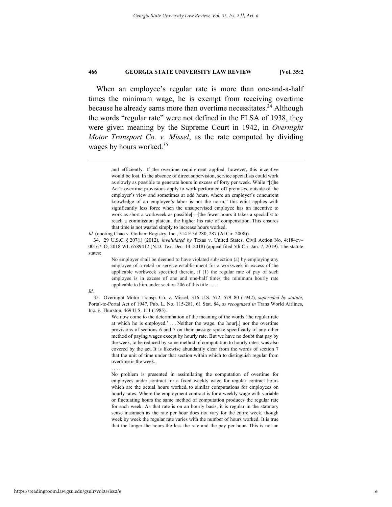When an employee's regular rate is more than one-and-a-half times the minimum wage, he is exempt from receiving overtime because he already earns more than overtime necessitates.<sup>34</sup> Although the words "regular rate" were not defined in the FLSA of 1938, they were given meaning by the Supreme Court in 1942, in *Overnight Motor Transport Co. v. Missel*, as the rate computed by dividing wages by hours worked.<sup>35</sup>

#### *Id.*

. . . .

 35. Overnight Motor Transp. Co. v. Missel, 316 U.S. 572, 579–80 (1942), *supereded by statute*, Portal-to-Portal Act of 1947, Pub. L. No. 115-281, 61 Stat. 84, *as recognized in* Trans World Airlines, Inc. v. Thurston, 469 U.S. 111 (1985).

> We now come to the determination of the meaning of the words 'the regular rate at which he is employed.' . . . Neither the wage, the hour[,] nor the overtime provisions of sections 6 and 7 on their passage spoke specifically of any other method of paying wages except by hourly rate. But we have no doubt that pay by the week, to be reduced by some method of computation to hourly rates, was also covered by the act. It is likewise abundantly clear from the words of section 7 that the unit of time under that section within which to distinguish regular from overtime is the week.

> No problem is presented in assimilating the computation of overtime for employees under contract for a fixed weekly wage for regular contract hours which are the actual hours worked, to similar computations for employees on hourly rates. Where the employment contract is for a weekly wage with variable or fluctuating hours the same method of computation produces the regular rate for each week. As that rate is on an hourly basis, it is regular in the statutory sense inasmuch as the rate per hour does not vary for the entire week, though week by week the regular rate varies with the number of hours worked. It is true that the longer the hours the less the rate and the pay per hour. This is not an

and efficiently. If the overtime requirement applied, however, this incentive would be lost. In the absence of direct supervision, service specialists could work as slowly as possible to generate hours in excess of forty per week. While "[t]he Act's overtime provisions apply to work performed off premises, outside of the employer's view and sometimes at odd hours, where an employer's concurrent knowledge of an employee's labor is not the norm," this edict applies with significantly less force when the unsupervised employee has an incentive to work as short a workweek as possible[—]the fewer hours it takes a specialist to reach a commission plateau, the higher his rate of compensation. This ensures that time is not wasted simply to increase hours worked.

*Id.* (quoting Chao v. Gotham Registry, Inc., 514 F.3d 280, 287 (2d Cir. 2008)).

 <sup>34. 29</sup> U.S.C. § 207(i) (2012), *invalidated by* Texas v. United States, Civil Action No. 4:18–cv– 00167–O, 2018 WL 6589412 (N.D. Tex. Dec. 14, 2018) (appeal filed 5th Cir. Jan. 7, 2019). The statute states:

No employer shall be deemed to have violated subsection (a) by employing any employee of a retail or service establishment for a workweek in excess of the applicable workweek specified therein, if (1) the regular rate of pay of such employee is in excess of one and one-half times the minimum hourly rate applicable to him under section 206 of this title . . . .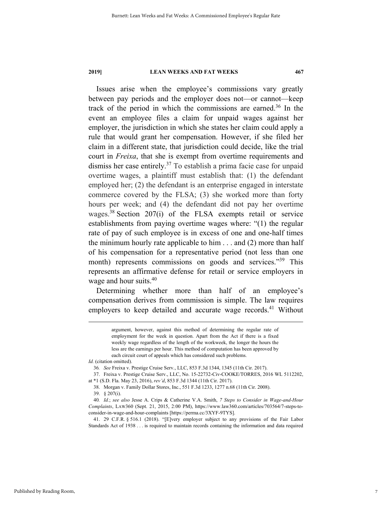Issues arise when the employee's commissions vary greatly between pay periods and the employer does not—or cannot—keep track of the period in which the commissions are earned.<sup>36</sup> In the event an employee files a claim for unpaid wages against her employer, the jurisdiction in which she states her claim could apply a rule that would grant her compensation. However, if she filed her claim in a different state, that jurisdiction could decide, like the trial court in *Freixa*, that she is exempt from overtime requirements and dismiss her case entirely.<sup>37</sup> To establish a prima facie case for unpaid overtime wages, a plaintiff must establish that: (1) the defendant employed her; (2) the defendant is an enterprise engaged in interstate commerce covered by the FLSA; (3) she worked more than forty hours per week; and (4) the defendant did not pay her overtime wages.<sup>38</sup> Section 207(i) of the FLSA exempts retail or service establishments from paying overtime wages where: "(1) the regular rate of pay of such employee is in excess of one and one-half times the minimum hourly rate applicable to him  $\dots$  and (2) more than half of his compensation for a representative period (not less than one month) represents commissions on goods and services."<sup>39</sup> This represents an affirmative defense for retail or service employers in wage and hour suits.<sup>40</sup>

Determining whether more than half of an employee's compensation derives from commission is simple. The law requires employers to keep detailed and accurate wage records.<sup>41</sup> Without

> argument, however, against this method of determining the regular rate of employment for the week in question. Apart from the Act if there is a fixed weekly wage regardless of the length of the workweek, the longer the hours the less are the earnings per hour. This method of computation has been approved by each circuit court of appeals which has considered such problems.

*Id.* (citation omitted).

<sup>36</sup>*. See* Freixa v. Prestige Cruise Serv., LLC, 853 F.3d 1344, 1345 (11th Cir. 2017).

 <sup>37.</sup> Freixa v. Prestige Cruise Serv., LLC, No. 15-22732-Civ-COOKE/TORRES, 2016 WL 5112202, at \*1 (S.D. Fla. May 23, 2016), *rev'd*, 853 F.3d 1344 (11th Cir. 2017).

 <sup>38.</sup> Morgan v. Family Dollar Stores, Inc., 551 F.3d 1233, 1277 n.68 (11th Cir. 2008).

 <sup>39. § 207(</sup>i).

<sup>40</sup>*. Id.*; *see also* Jesse A. Crips & Catherine V.A. Smith, *7 Steps to Consider in Wage-and-Hour Complaints*, LAW360 (Sept. 21, 2015, 2:00 PM), https://www.law360.com/articles/703564/7-steps-toconsider-in-wage-and-hour-complaints [https://perma.cc/3XYF-9TYS].

 <sup>41. 29</sup> C.F.R. § 516.1 (2018). "[E]very employer subject to any provisions of the Fair Labor Standards Act of 1938 . . . is required to maintain records containing the information and data required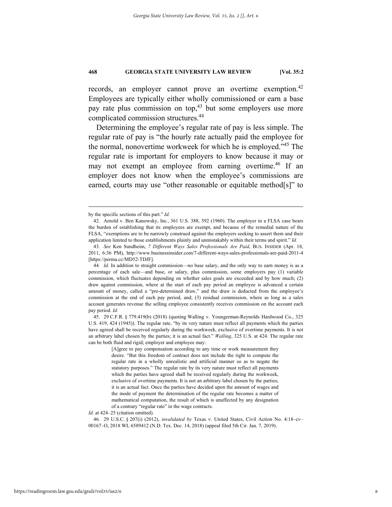records, an employer cannot prove an overtime exemption.<sup>42</sup> Employees are typically either wholly commissioned or earn a base pay rate plus commission on top,<sup>43</sup> but some employers use more complicated commission structures.44

Determining the employee's regular rate of pay is less simple. The regular rate of pay is "the hourly rate actually paid the employee for the normal, nonovertime workweek for which he is employed."45 The regular rate is important for employers to know because it may or may not exempt an employee from earning overtime.46 If an employer does not know when the employee's commissions are earned, courts may use "other reasonable or equitable method[s]" to

 45. 29 C.F.R. § 779.419(b) (2018) (quoting Walling v. Youngerman-Reynolds Hardwood Co., 325 U.S. 419, 424 (1945)). The regular rate, "by its very nature must reflect all payments which the parties have agreed shall be received regularly during the workweek, exclusive of overtime payments. It is not an arbitrary label chosen by the parties; it is an actual fact." *Walling*, 325 U.S. at 424. The regular rate can be both fluid and rigid; employer and employee may:

> [A]gree to pay compensation according to any time or work measurement they desire. "But this freedom of contract does not include the right to compute the regular rate in a wholly unrealistic and artificial manner so as to negate the statutory purposes." The regular rate by its very nature must reflect all payments which the parties have agreed shall be received regularly during the workweek, exclusive of overtime payments. It is not an arbitrary label chosen by the parties; it is an actual fact. Once the parties have decided upon the amount of wages and the mode of payment the determination of the regular rate becomes a matter of mathematical computation, the result of which is unaffected by any designation of a contrary "regular rate" in the wage contracts.

*Id.* at 424–25 (citation omitted).

 46. 29 U.S.C. § 207(i) (2012), *invalidated by* Texas v. United States, Civil Action No. 4:18–cv– 00167–O, 2018 WL 6589412 (N.D. Tex. Dec. 14, 2018) (appeal filed 5th Cir. Jan. 7, 2019).

by the specific sections of this part." *Id.*

 <sup>42.</sup> Arnold v. Ben Kanowsky, Inc., 361 U.S. 388, 392 (1960). The employer in a FLSA case bears the burden of establishing that its employees are exempt, and because of the remedial nature of the FLSA, "exemptions are to be narrowly construed against the employers seeking to assert them and their application limited to those establishments plainly and unmistakably within their terms and spirit." *Id.* 

<sup>43</sup>*. See* Ken Sundheim, *7 Different Ways Sales Professionals Are Paid*, BUS. INSIDER (Apr. 18, 2011, 6:36 PM), http://www.businessinsider.com/7-different-ways-sales-professionals-are-paid-2011-4 [https://perma.cc/MD52-TDJF].

<sup>44</sup>*. Id.* In addition to straight commission—no base salary, and the only way to earn money is as a percentage of each sale—and base, or salary, plus commission, some employers pay (1) variable commission, which fluctuates depending on whether sales goals are exceeded and by how much; (2) draw against commission, where at the start of each pay period an employee is advanced a certain amount of money, called a "pre-determined draw," and the draw is deducted from the employee's commission at the end of each pay period, and; (3) residual commission, where as long as a sales account generates revenue the selling employee consistently receives commission on the account each pay period. *Id.*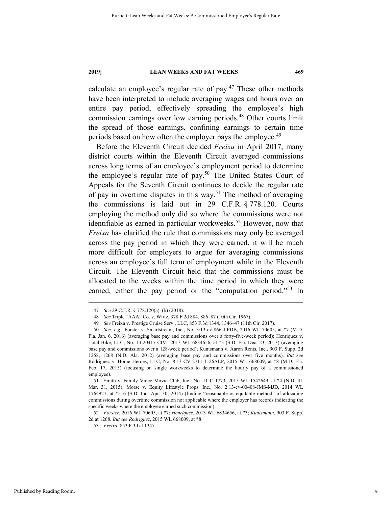calculate an employee's regular rate of pay. $47$  These other methods have been interpreted to include averaging wages and hours over an entire pay period, effectively spreading the employee's high commission earnings over low earning periods.<sup>48</sup> Other courts limit the spread of those earnings, confining earnings to certain time periods based on how often the employer pays the employee.<sup>49</sup>

Before the Eleventh Circuit decided *Freixa* in April 2017, many district courts within the Eleventh Circuit averaged commissions across long terms of an employee's employment period to determine the employee's regular rate of pay.<sup>50</sup> The United States Court of Appeals for the Seventh Circuit continues to decide the regular rate of pay in overtime disputes in this way.<sup>51</sup> The method of averaging the commissions is laid out in 29 C.F.R. § 778.120. Courts employing the method only did so where the commissions were not identifiable as earned in particular workweeks.<sup>52</sup> However, now that *Freixa* has clarified the rule that commissions may only be averaged across the pay period in which they were earned, it will be much more difficult for employers to argue for averaging commissions across an employee's full term of employment while in the Eleventh Circuit. The Eleventh Circuit held that the commissions must be allocated to the weeks within the time period in which they were earned, either the pay period or the "computation period."<sup>53</sup> In

 <sup>47</sup>*. See* 29 C.F.R. § 778.120(a)–(b) (2018).

<sup>48</sup>*. See* Triple "AAA" Co. v. Wirtz, 378 F.2d 884, 886–87 (10th Cir. 1967).

<sup>49</sup>*. See* Freixa v. Prestige Cruise Serv., LLC, 853 F.3d 1344, 1346–47 (11th Cir. 2017).

<sup>50</sup>*. See, e.g.*, Forster v. Smartstream, Inc., No. 3:13-cv-866-J-PDB, 2016 WL 70605, at \*7 (M.D.

Fla. Jan. 6, 2016) (averaging base pay and commissions over a forty-five-week period); Henriquez v. Total Bike, LLC, No. 13-20417-CIV., 2013 WL 6834656, at \*3 (S.D. Fla. Dec. 23, 2013) (averaging base pay and commissions over a 128-week period); Kuntsmann v. Aaron Rents, Inc., 903 F. Supp. 2d 1258, 1268 (N.D. Ala. 2012) (averaging base pay and commissions over five months). *But see*  Rodriguez v. Home Heroes, LLC, No. 8:13-CV-2711-T-26AEP, 2015 WL 668009, at \*8 (M.D. Fla. Feb. 17, 2015) (focusing on single workweeks to determine the hourly pay of a commissioned employee).

 <sup>51.</sup> Smith v. Family Video Movie Club, Inc., No. 11 C 1773, 2015 WL 1542649, at \*4 (N.D. Ill. Mar. 31, 2015); Morse v. Equity Lifestyle Props. Inc., No. 2:13-cv-00408-JMS-MJD, 2014 WL 1764927, at \*5–6 (S.D. Ind. Apr. 30, 2014) (finding "reasonable or equitable method" of allocating commissions during overtime commission not applicable where the employer has records indicating the specific weeks where the employee earned such commission).

<sup>52</sup>*. Forster*, 2016 WL 70605, at \*7; *Henriquez*, 2013 WL 6834656, at \*3; *Kuntsmann*, 903 F. Supp. 2d at 1268. *But see Rodriguez*, 2015 WL 668009, at \*8.

<sup>53</sup>*. Freixa*, 853 F.3d at 1347.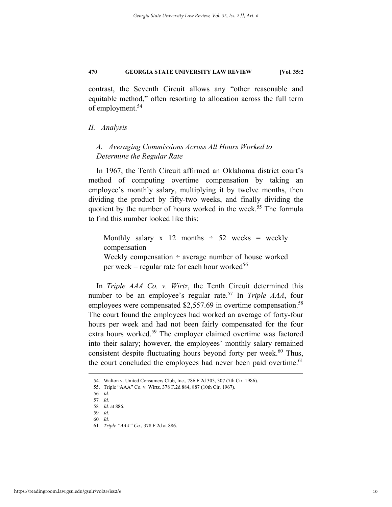contrast, the Seventh Circuit allows any "other reasonable and equitable method," often resorting to allocation across the full term of employment.<sup>54</sup>

#### *II. Analysis*

# *A. Averaging Commissions Across All Hours Worked to Determine the Regular Rate*

In 1967, the Tenth Circuit affirmed an Oklahoma district court's method of computing overtime compensation by taking an employee's monthly salary, multiplying it by twelve months, then dividing the product by fifty-two weeks, and finally dividing the quotient by the number of hours worked in the week.<sup>55</sup> The formula to find this number looked like this:

Monthly salary x 12 months  $\div$  52 weeks = weekly compensation Weekly compensation  $\div$  average number of house worked per week = regular rate for each hour worked<sup>56</sup>

In *Triple AAA Co. v. Wirtz*, the Tenth Circuit determined this number to be an employee's regular rate.57 In *Triple AAA*, four employees were compensated \$2,557.69 in overtime compensation.<sup>58</sup> The court found the employees had worked an average of forty-four hours per week and had not been fairly compensated for the four extra hours worked.<sup>59</sup> The employer claimed overtime was factored into their salary; however, the employees' monthly salary remained consistent despite fluctuating hours beyond forty per week. $60$  Thus, the court concluded the employees had never been paid overtime.<sup>61</sup>

 <sup>54.</sup> Walton v. United Consumers Club, Inc., 786 F.2d 303, 307 (7th Cir. 1986).

 <sup>55.</sup> Triple "AAA" Co. v. Wirtz, 378 F.2d 884, 887 (10th Cir. 1967).

<sup>56</sup>*. Id.* 

<sup>57</sup>*. Id.* 58*. Id.* at 886.

<sup>59</sup>*. Id.*

<sup>60</sup>*. Id.*

<sup>61</sup>*. Triple "AAA" Co.*, 378 F.2d at 886.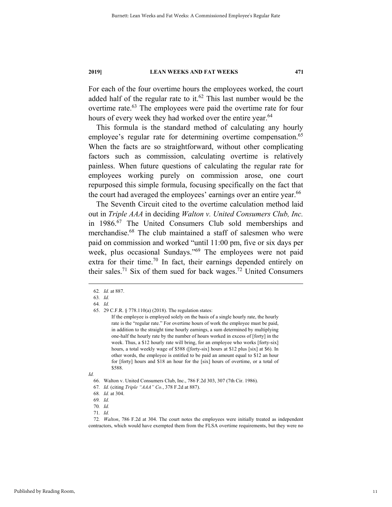For each of the four overtime hours the employees worked, the court added half of the regular rate to it.<sup>62</sup> This last number would be the overtime rate.<sup>63</sup> The employees were paid the overtime rate for four hours of every week they had worked over the entire year.<sup>64</sup>

This formula is the standard method of calculating any hourly employee's regular rate for determining overtime compensation.<sup>65</sup> When the facts are so straightforward, without other complicating factors such as commission, calculating overtime is relatively painless. When future questions of calculating the regular rate for employees working purely on commission arose, one court repurposed this simple formula, focusing specifically on the fact that the court had averaged the employees' earnings over an entire year.<sup>66</sup>

The Seventh Circuit cited to the overtime calculation method laid out in *Triple AAA* in deciding *Walton v. United Consumers Club, Inc.* in 1986.67 The United Consumers Club sold memberships and merchandise.68 The club maintained a staff of salesmen who were paid on commission and worked "until 11:00 pm, five or six days per week, plus occasional Sundays."69 The employees were not paid extra for their time.<sup>70</sup> In fact, their earnings depended entirely on their sales.<sup>71</sup> Six of them sued for back wages.<sup>72</sup> United Consumers

 <sup>62</sup>*. Id.* at 887.

<sup>63</sup>*. Id.*

<sup>64</sup>*. Id.*

 <sup>65. 29</sup> C.F.R. § 778.110(a) (2018). The regulation states:

If the employee is employed solely on the basis of a single hourly rate, the hourly rate is the "regular rate." For overtime hours of work the employee must be paid, in addition to the straight time hourly earnings, a sum determined by multiplying one-half the hourly rate by the number of hours worked in excess of [forty] in the week. Thus, a \$12 hourly rate will bring, for an employee who works [forty-six] hours, a total weekly wage of \$588 ([forty-six] hours at \$12 plus [six] at \$6). In other words, the employee is entitled to be paid an amount equal to \$12 an hour for [forty] hours and \$18 an hour for the [six] hours of overtime, or a total of \$588.

*Id.* 

 <sup>66.</sup> Walton v. United Consumers Club, Inc., 786 F.2d 303, 307 (7th Cir. 1986).

<sup>67</sup>*. Id.* (citing *Triple "AAA" Co.*, 378 F.2d at 887).

<sup>68</sup>*. Id.* at 304.

<sup>69</sup>*. Id.*

<sup>70</sup>*. Id.*

<sup>71</sup>*. Id.*

<sup>72</sup>*. Walton*, 786 F.2d at 304. The court notes the employees were initially treated as independent contractors, which would have exempted them from the FLSA overtime requirements, but they were no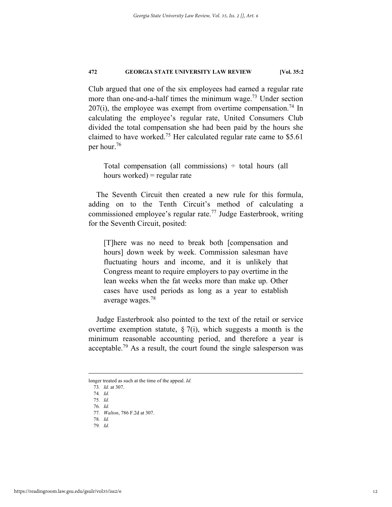Club argued that one of the six employees had earned a regular rate more than one-and-a-half times the minimum wage.<sup>73</sup> Under section  $207(i)$ , the employee was exempt from overtime compensation.<sup>74</sup> In calculating the employee's regular rate, United Consumers Club divided the total compensation she had been paid by the hours she claimed to have worked.<sup>75</sup> Her calculated regular rate came to  $$5.61$ per hour.76

Total compensation (all commissions)  $\div$  total hours (all hours worked) = regular rate

The Seventh Circuit then created a new rule for this formula, adding on to the Tenth Circuit's method of calculating a commissioned employee's regular rate.77 Judge Easterbrook, writing for the Seventh Circuit, posited:

[T]here was no need to break both [compensation and hours] down week by week. Commission salesman have fluctuating hours and income, and it is unlikely that Congress meant to require employers to pay overtime in the lean weeks when the fat weeks more than make up. Other cases have used periods as long as a year to establish average wages.78

Judge Easterbrook also pointed to the text of the retail or service overtime exemption statute,  $\S$  7(i), which suggests a month is the minimum reasonable accounting period, and therefore a year is acceptable.<sup>79</sup> As a result, the court found the single salesperson was

longer treated as such at the time of the appeal. *Id.*

<sup>73</sup>*. Id.* at 307.

<sup>74</sup>*. Id.* 75*. Id.*

<sup>76</sup>*. Id.*

<sup>77</sup>*. Walton*, 786 F.2d at 307.

<sup>78</sup>*. Id.*

<sup>79</sup>*. Id.*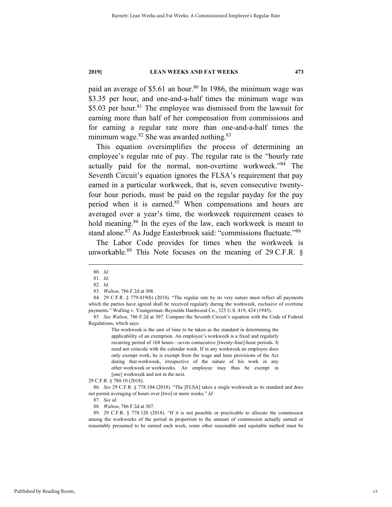paid an average of \$5.61 an hour.<sup>80</sup> In 1986, the minimum wage was \$3.35 per hour, and one-and-a-half times the minimum wage was \$5.03 per hour.<sup>81</sup> The employee was dismissed from the lawsuit for earning more than half of her compensation from commissions and for earning a regular rate more than one-and-a-half times the minimum wage. $82$  She was awarded nothing. $83$ 

This equation oversimplifies the process of determining an employee's regular rate of pay. The regular rate is the "hourly rate actually paid for the normal, non-overtime workweek."84 The Seventh Circuit's equation ignores the FLSA's requirement that pay earned in a particular workweek, that is, seven consecutive twentyfour hour periods, must be paid on the regular payday for the pay period when it is earned.<sup>85</sup> When compensations and hours are averaged over a year's time, the workweek requirement ceases to hold meaning.<sup>86</sup> In the eyes of the law, each workweek is meant to stand alone.<sup>87</sup> As Judge Easterbrook said: "commissions fluctuate."<sup>88</sup>

The Labor Code provides for times when the workweek is unworkable.<sup>89</sup> This Note focuses on the meaning of 29 C.F.R. §

The workweek is the unit of time to be taken as the standard in determining the applicability of an exemption. An employee's workweek is a fixed and regularly recurring period of 168 hours—seven consecutive [twenty-four]-hour periods. It need not coincide with the calendar week. If in any workweek an employee does only exempt work, he is exempt from the wage and hour provisions of the Act during that workweek, irrespective of the nature of his work in any other workweek or workweeks. An employee may thus be exempt in [one] workweek and not in the next.

29 C.F.R. § 780.10 (2018).

86*. See* 29 C.F.R. § 778.104 (2018). "The [FLSA] takes a single workweek as its standard and does not permit averaging of hours over [two] or more weeks." *Id.*

87*. See id.*

 89. 29 C.F.R. § 778.120 (2018). "If it is not possible or practicable to allocate the commission among the workweeks of the period in proportion to the amount of commission actually earned or reasonably presumed to be earned each week, some other reasonable and equitable method must be

 <sup>80</sup>*. Id.*

<sup>81</sup>*. Id.*

<sup>82</sup>*. Id.*

<sup>83</sup>*. Walton*, 786 F.2d at 308.

 <sup>84. 29</sup> C.F.R. § 779.419(b) (2018). "The regular rate by its very nature must reflect all payments which the parties have agreed shall be received regularly during the workweek, exclusive of overtime payments." Walling v. Youngerman–Reynolds Hardwood Co., 325 U.S. 419, 424 (1945).

<sup>85</sup>*. See Walton*, 786 F.2d at 307. Compare the Seventh Circuit's equation with the Code of Federal Regulations, which says:

<sup>88</sup>*. Walton*, 786 F.2d at 307.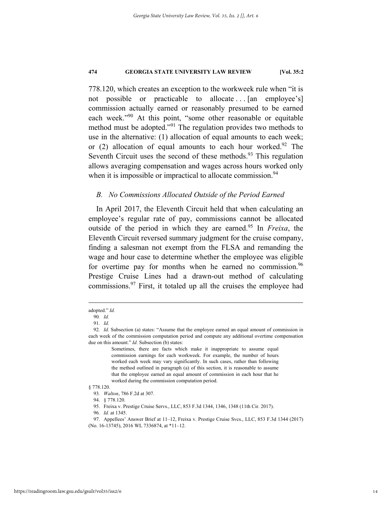778.120, which creates an exception to the workweek rule when "it is not possible or practicable to allocate ... [an employee's] commission actually earned or reasonably presumed to be earned each week."<sup>90</sup> At this point, "some other reasonable or equitable method must be adopted."91 The regulation provides two methods to use in the alternative: (1) allocation of equal amounts to each week; or  $(2)$  allocation of equal amounts to each hour worked.<sup>92</sup> The Seventh Circuit uses the second of these methods. $93$  This regulation allows averaging compensation and wages across hours worked only when it is impossible or impractical to allocate commission.<sup>94</sup>

# *B. No Commissions Allocated Outside of the Period Earned*

In April 2017, the Eleventh Circuit held that when calculating an employee's regular rate of pay, commissions cannot be allocated outside of the period in which they are earned.95 In *Freixa*, the Eleventh Circuit reversed summary judgment for the cruise company, finding a salesman not exempt from the FLSA and remanding the wage and hour case to determine whether the employee was eligible for overtime pay for months when he earned no commission.<sup>96</sup> Prestige Cruise Lines had a drawn-out method of calculating commissions.97 First, it totaled up all the cruises the employee had

adopted." *Id.*

<sup>90</sup>*. Id.*

<sup>91</sup>*. Id.*

<sup>92</sup>*. Id.* Subsection (a) states: "Assume that the employee earned an equal amount of commission in each week of the commission computation period and compute any additional overtime compensation due on this amount." *Id.* Subsection (b) states:

Sometimes, there are facts which make it inappropriate to assume equal commission earnings for each workweek. For example, the number of hours worked each week may vary significantly. In such cases, rather than following the method outlined in paragraph (a) of this section, it is reasonable to assume that the employee earned an equal amount of commission in each hour that he worked during the commission computation period.

<sup>§ 778.120.</sup>

<sup>93</sup>*. Walton*, 786 F.2d at 307.

 <sup>94. § 778.120.</sup> 

 <sup>95.</sup> Freixa v. Prestige Cruise Servs., LLC, 853 F.3d 1344, 1346, 1348 (11th Cir. 2017).

<sup>96</sup>*. Id.* at 1345.

 <sup>97.</sup> Appellees' Answer Brief at 11–12, Freixa v. Prestige Cruise Svcs., LLC, 853 F.3d 1344 (2017) (No. 16-13745), 2016 WL 7336874, at \*11–12.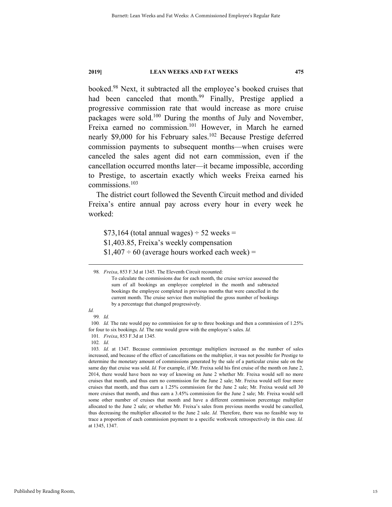booked.98 Next, it subtracted all the employee's booked cruises that had been canceled that month.<sup>99</sup> Finally, Prestige applied a progressive commission rate that would increase as more cruise packages were sold.100 During the months of July and November, Freixa earned no commission.101 However, in March he earned nearly \$9,000 for his February sales.<sup>102</sup> Because Prestige deferred commission payments to subsequent months—when cruises were canceled the sales agent did not earn commission, even if the cancellation occurred months later—it became impossible, according to Prestige, to ascertain exactly which weeks Freixa earned his commissions.<sup>103</sup>

The district court followed the Seventh Circuit method and divided Freixa's entire annual pay across every hour in every week he worked:

 $$73,164$  (total annual wages)  $\div$  52 weeks = \$1,403.85, Freixa's weekly compensation  $$1,407 \div 60$  (average hours worked each week) =

*Id.* 99*. Id.* 

 <sup>98</sup>*. Freixa*, 853 F.3d at 1345. The Eleventh Circuit recounted:

To calculate the commissions due for each month, the cruise service assessed the sum of all bookings an employee completed in the month and subtracted bookings the employee completed in previous months that were cancelled in the current month. The cruise service then multiplied the gross number of bookings by a percentage that changed progressively.

<sup>100</sup>*. Id.* The rate would pay no commission for up to three bookings and then a commission of 1.25% for four to six bookings. *Id.* The rate would grow with the employee's sales. *Id.* 

<sup>101</sup>*. Freixa*, 853 F.3d at 1345*.* 

<sup>102</sup>*. Id*.

<sup>103</sup>*. Id.* at 1347. Because commission percentage multipliers increased as the number of sales increased, and because of the effect of cancellations on the multiplier, it was not possible for Prestige to determine the monetary amount of commissions generated by the sale of a particular cruise sale on the same day that cruise was sold. *Id.* For example, if Mr. Freixa sold his first cruise of the month on June 2, 2014, there would have been no way of knowing on June 2 whether Mr. Freixa would sell no more cruises that month, and thus earn no commission for the June 2 sale; Mr. Freixa would sell four more cruises that month, and thus earn a 1.25% commission for the June 2 sale; Mr. Freixa would sell 30 more cruises that month, and thus earn a 3.45% commission for the June 2 sale; Mr. Freixa would sell some other number of cruises that month and have a different commission percentage multiplier allocated to the June 2 sale; or whether Mr. Freixa's sales from previous months would be cancelled, thus decreasing the multiplier allocated to the June 2 sale. *Id.* Therefore, there was no feasible way to trace a proportion of each commission payment to a specific workweek retrospectively in this case. *Id.*  at 1345, 1347.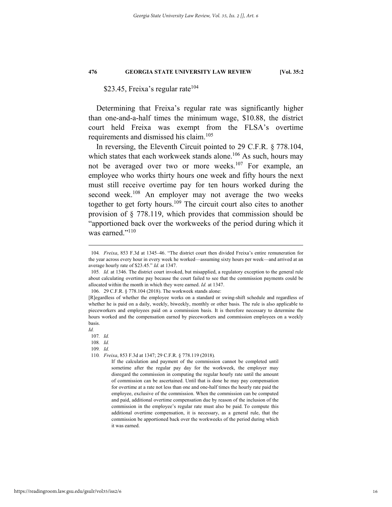# \$23.45, Freixa's regular rate<sup>104</sup>

Determining that Freixa's regular rate was significantly higher than one-and-a-half times the minimum wage, \$10.88, the district court held Freixa was exempt from the FLSA's overtime requirements and dismissed his claim.<sup>105</sup>

In reversing, the Eleventh Circuit pointed to 29 C.F.R. § 778.104, which states that each workweek stands alone.<sup>106</sup> As such, hours may not be averaged over two or more weeks.<sup>107</sup> For example, an employee who works thirty hours one week and fifty hours the next must still receive overtime pay for ten hours worked during the second week.<sup>108</sup> An employer may not average the two weeks together to get forty hours.<sup>109</sup> The circuit court also cites to another provision of § 778.119, which provides that commission should be "apportioned back over the workweeks of the period during which it was earned."<sup>110</sup>

107*. Id.*

108*. Id.*

 <sup>104</sup>*. Freixa*, 853 F.3d at 1345–46. "The district court then divided Freixa's entire remuneration for the year across every hour in every week he worked—assuming sixty hours per week—and arrived at an average hourly rate of \$23.45." *Id.* at 1347.

<sup>105</sup>*. Id.* at 1346. The district court invoked, but misapplied, a regulatory exception to the general rule about calculating overtime pay because the court failed to see that the commission payments could be allocated within the month in which they were earned. *Id.* at 1347.

 <sup>106. 29</sup> C.F.R. § 778.104 (2018). The workweek stands alone:

<sup>[</sup>R]egardless of whether the employee works on a standard or swing-shift schedule and regardless of whether he is paid on a daily, weekly, biweekly, monthly or other basis. The rule is also applicable to pieceworkers and employees paid on a commission basis. It is therefore necessary to determine the hours worked and the compensation earned by pieceworkers and commission employees on a weekly basis.

*Id.*

<sup>109</sup>*. Id.*

<sup>110</sup>*. Freixa*, 853 F.3d at 1347; 29 C.F.R. § 778.119 (2018)*.* 

If the calculation and payment of the commission cannot be completed until sometime after the regular pay day for the workweek, the employer may disregard the commission in computing the regular hourly rate until the amount of commission can be ascertained. Until that is done he may pay compensation for overtime at a rate not less than one and one-half times the hourly rate paid the employee, exclusive of the commission. When the commission can be computed and paid, additional overtime compensation due by reason of the inclusion of the commission in the employee's regular rate must also be paid. To compute this additional overtime compensation, it is necessary, as a general rule, that the commission be apportioned back over the workweeks of the period during which it was earned.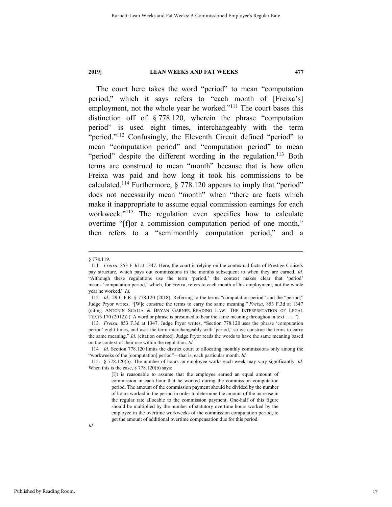The court here takes the word "period" to mean "computation period," which it says refers to "each month of [Freixa's] employment, not the whole year he worked."<sup>111</sup> The court bases this distinction off of § 778.120, wherein the phrase "computation period" is used eight times, interchangeably with the term "period."<sup>112</sup> Confusingly, the Eleventh Circuit defined "period" to mean "computation period" and "computation period" to mean "period" despite the different wording in the regulation.<sup>113</sup> Both terms are construed to mean "month" because that is how often Freixa was paid and how long it took his commissions to be calculated.114 Furthermore, § 778.120 appears to imply that "period" does not necessarily mean "month" when "there are facts which make it inappropriate to assume equal commission earnings for each workweek."<sup>115</sup> The regulation even specifies how to calculate overtime "[f]or a commission computation period of one month," then refers to a "semimonthly computation period," and a

 <sup>§ 778.119.</sup>

<sup>111</sup>*. Freixa*, 853 F.3d at 1347. Here, the court is relying on the contextual facts of Prestige Cruise's pay structure, which pays out commissions in the months subsequent to when they are earned. *Id.*  "Although these regulations use the term 'period,' the context makes clear that 'period' means 'computation period,' which, for Freixa, refers to each month of his employment, not the whole year he worked." *Id.* 

<sup>112</sup>*. Id.*; 29 C.F.R. § 778.120 (2018). Referring to the terms "computation period" and the "period," Judge Pryor writes, "[W]e construe the terms to carry the same meaning." *Freixa*, 853 F.3d at 1347 (citing ANTONIN SCALIA & BRYAN GARNER, READING LAW: THE INTERPRETATION OF LEGAL TEXTS 170 (2012)) ("A word or phrase is presumed to bear the same meaning throughout a text . . . .").

<sup>113</sup>*. Freixa*, 853 F.3d at 1347. Judge Pryor writes, "Section 778.120 uses the phrase 'computation period' eight times, and uses the term interchangeably with 'period,' so we construe the terms to carry the same meaning." *Id.* (citation omitted). Judge Pryor reads the words to have the same meaning based on the context of their use within the regulation. *Id.*

<sup>114</sup>*. Id.* Section 778.120 limits the district court to allocating monthly commissions only among the "workweeks of the [computation] period"—that is, each particular month. *Id.*

 <sup>115. § 778.120(</sup>b). The number of hours an employee works each week may vary significantly. *Id.*  When this is the case, § 778.120(b) says:

<sup>[</sup>I]t is reasonable to assume that the employee earned an equal amount of commission in each hour that he worked during the commission computation period. The amount of the commission payment should be divided by the number of hours worked in the period in order to determine the amount of the increase in the regular rate allocable to the commission payment. One-half of this figure should be multiplied by the number of statutory overtime hours worked by the employee in the overtime workweeks of the commission computation period, to get the amount of additional overtime compensation due for this period.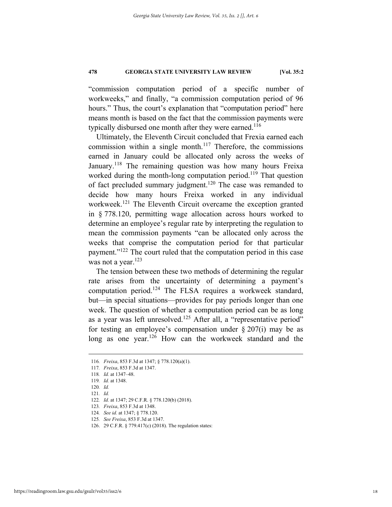"commission computation period of a specific number of workweeks," and finally, "a commission computation period of 96 hours." Thus, the court's explanation that "computation period" here means month is based on the fact that the commission payments were typically disbursed one month after they were earned.<sup>116</sup>

Ultimately, the Eleventh Circuit concluded that Frexia earned each commission within a single month.<sup>117</sup> Therefore, the commissions earned in January could be allocated only across the weeks of January.<sup>118</sup> The remaining question was how many hours Freixa worked during the month-long computation period.<sup>119</sup> That question of fact precluded summary judgment.<sup>120</sup> The case was remanded to decide how many hours Freixa worked in any individual workweek.<sup>121</sup> The Eleventh Circuit overcame the exception granted in § 778.120, permitting wage allocation across hours worked to determine an employee's regular rate by interpreting the regulation to mean the commission payments "can be allocated only across the weeks that comprise the computation period for that particular payment."122 The court ruled that the computation period in this case was not a year.<sup>123</sup>

The tension between these two methods of determining the regular rate arises from the uncertainty of determining a payment's computation period.124 The FLSA requires a workweek standard, but—in special situations—provides for pay periods longer than one week. The question of whether a computation period can be as long as a year was left unresolved.<sup>125</sup> After all, a "representative period" for testing an employee's compensation under  $\S 207(i)$  may be as long as one year.<sup>126</sup> How can the workweek standard and the

120*. Id.*

 <sup>116</sup>*. Freixa*, 853 F.3d at 1347; § 778.120(a)(1).

<sup>117</sup>*. Freixa*, 853 F.3d at 1347.

<sup>118</sup>*. Id.* at 1347–48.

<sup>119</sup>*. Id.* at 1348.

<sup>121</sup>*. Id.*

<sup>122</sup>*. Id.* at 1347; 29 C.F.R. § 778.120(b) (2018).

<sup>123</sup>*. Freixa*, 853 F.3d at 1348.

<sup>124</sup>*. See id.* at 1347; § 778.120.

<sup>125</sup>*. See Freixa*, 853 F.3d at 1347.

 <sup>126. 29</sup> C.F.R. § 779.417(c) (2018). The regulation states: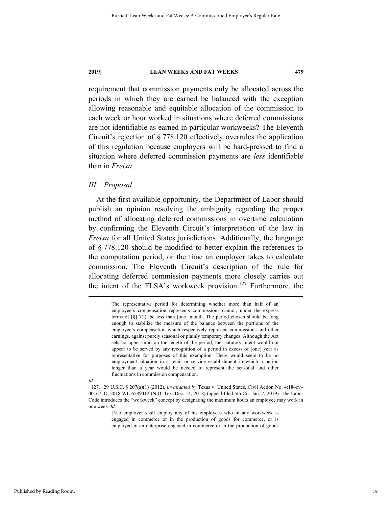requirement that commission payments only be allocated across the periods in which they are earned be balanced with the exception allowing reasonable and equitable allocation of the commission to each week or hour worked in situations where deferred commissions are not identifiable as earned in particular workweeks? The Eleventh Circuit's rejection of § 778.120 effectively overrules the application of this regulation because employers will be hard-pressed to find a situation where deferred commission payments are *less* identifiable than in *Freixa*.

#### *III. Proposal*

At the first available opportunity, the Department of Labor should publish an opinion resolving the ambiguity regarding the proper method of allocating deferred commissions in overtime calculation by confirming the Eleventh Circuit's interpretation of the law in *Freixa* for all United States jurisdictions. Additionally, the language of § 778.120 should be modified to better explain the references to the computation period, or the time an employer takes to calculate commission. The Eleventh Circuit's description of the rule for allocating deferred commission payments more closely carries out the intent of the FLSA's workweek provision.<sup>127</sup> Furthermore, the

> The representative period for determining whether more than half of an employee's compensation represents commissions cannot, under the express terms of [§] 7(i), be less than [one] month. The period chosen should be long enough to stabilize the measure of the balance between the portions of the employee's compensation which respectively represent commissions and other earnings, against purely seasonal or plainly temporary changes. Although the Act sets no upper limit on the length of the period, the statutory intent would not appear to be served by any recognition of a period in excess of [one] year as representative for purposes of this exemption. There would seem to be no employment situation in a retail or service establishment in which a period longer than a year would be needed to represent the seasonal and other fluctuations in commission compensation.

*Id.* 

[N]o employer shall employ any of his employees who in any workweek is engaged in commerce or in the production of goods for commerce, or is employed in an enterprise engaged in commerce or in the production of goods

 <sup>127. 29</sup> U.S.C. § 207(a)(1) (2012), *invalidated by* Texas v. United States, Civil Action No. 4:18–cv– 00167–O, 2018 WL 6589412 (N.D. Tex. Dec. 14, 2018) (appeal filed 5th Cir. Jan. 7, 2019). The Labor Code introduces the "workweek" concept by designating the maximum hours an employee may work in one week. *Id.*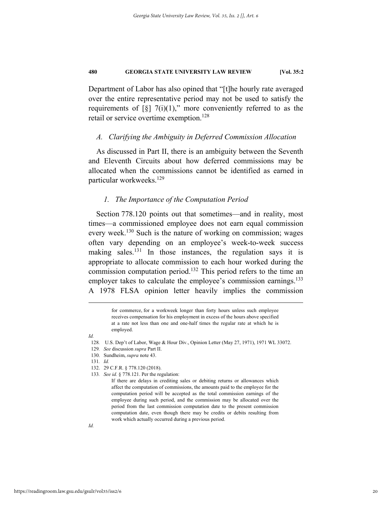Department of Labor has also opined that "[t]he hourly rate averaged over the entire representative period may not be used to satisfy the requirements of  $\lbrack \S \rbrack$  7(i)(1)," more conveniently referred to as the retail or service overtime exemption.<sup>128</sup>

### *A. Clarifying the Ambiguity in Deferred Commission Allocation*

As discussed in Part II, there is an ambiguity between the Seventh and Eleventh Circuits about how deferred commissions may be allocated when the commissions cannot be identified as earned in particular workweeks.129

#### *1. The Importance of the Computation Period*

Section 778.120 points out that sometimes—and in reality, most times—a commissioned employee does not earn equal commission every week.<sup>130</sup> Such is the nature of working on commission; wages often vary depending on an employee's week-to-week success making sales.131 In those instances, the regulation says it is appropriate to allocate commission to each hour worked during the commission computation period.132 This period refers to the time an employer takes to calculate the employee's commission earnings.<sup>133</sup> A 1978 FLSA opinion letter heavily implies the commission

> for commerce, for a workweek longer than forty hours unless such employee receives compensation for his employment in excess of the hours above specified at a rate not less than one and one-half times the regular rate at which he is employed.

- 129*. See* discussion *supra* Part II.
- 130. Sundheim, *supra* note 43.
- 131*. Id.*
- 132. 29 C.F.R. § 778.120 (2018).
- 133*. See id.* § 778.121. Per the regulation:

*Id.*

<sup>128</sup>*.* U.S. Dep't of Labor, Wage & Hour Div., Opinion Letter (May 27, 1971), 1971 WL 33072.

If there are delays in crediting sales or debiting returns or allowances which affect the computation of commissions, the amounts paid to the employee for the computation period will be accepted as the total commission earnings of the employee during such period, and the commission may be allocated over the period from the last commission computation date to the present commission computation date, even though there may be credits or debits resulting from work which actually occurred during a previous period.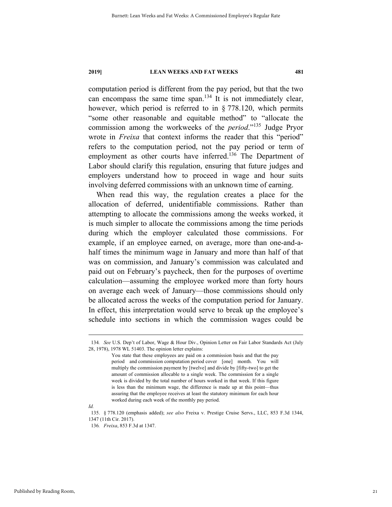computation period is different from the pay period, but that the two can encompass the same time span.134 It is not immediately clear, however, which period is referred to in § 778.120, which permits "some other reasonable and equitable method" to "allocate the commission among the workweeks of the *period*."135 Judge Pryor wrote in *Freixa* that context informs the reader that this "period" refers to the computation period, not the pay period or term of employment as other courts have inferred.<sup>136</sup> The Department of Labor should clarify this regulation, ensuring that future judges and employers understand how to proceed in wage and hour suits involving deferred commissions with an unknown time of earning.

When read this way, the regulation creates a place for the allocation of deferred, unidentifiable commissions. Rather than attempting to allocate the commissions among the weeks worked, it is much simpler to allocate the commissions among the time periods during which the employer calculated those commissions. For example, if an employee earned, on average, more than one-and-ahalf times the minimum wage in January and more than half of that was on commission, and January's commission was calculated and paid out on February's paycheck, then for the purposes of overtime calculation—assuming the employee worked more than forty hours on average each week of January—those commissions should only be allocated across the weeks of the computation period for January. In effect, this interpretation would serve to break up the employee's schedule into sections in which the commission wages could be

*Id.*

 <sup>134</sup>*. See* U.S. Dep't of Labor, Wage & Hour Div., Opinion Letter on Fair Labor Standards Act (July 28, 1978), 1978 WL 51403. The opinion letter explains:

You state that these employees are paid on a commission basis and that the pay period and commission computation period cover [one] month. You will multiply the commission payment by [twelve] and divide by [fifty-two] to get the amount of commission allocable to a single week. The commission for a single week is divided by the total number of hours worked in that week. If this figure is less than the minimum wage, the difference is made up at this point—thus assuring that the employee receives at least the statutory minimum for each hour worked during each week of the monthly pay period.

 <sup>135. § 778.120 (</sup>emphasis added); *see also* Freixa v. Prestige Cruise Servs., LLC, 853 F.3d 1344, 1347 (11th Cir. 2017).

<sup>136</sup>*. Freixa*, 853 F.3d at 1347.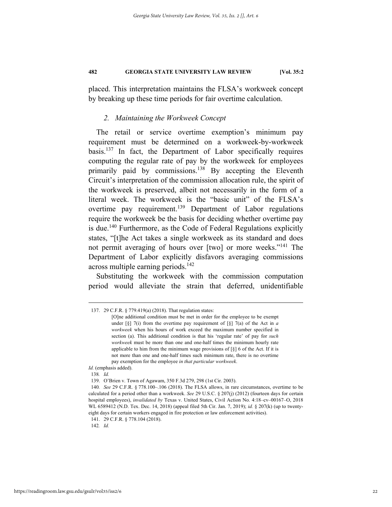placed. This interpretation maintains the FLSA's workweek concept by breaking up these time periods for fair overtime calculation.

#### *2. Maintaining the Workweek Concept*

The retail or service overtime exemption's minimum pay requirement must be determined on a workweek-by-workweek basis.137 In fact, the Department of Labor specifically requires computing the regular rate of pay by the workweek for employees primarily paid by commissions.<sup>138</sup> By accepting the Eleventh Circuit's interpretation of the commission allocation rule, the spirit of the workweek is preserved, albeit not necessarily in the form of a literal week. The workweek is the "basic unit" of the FLSA's overtime pay requirement.<sup>139</sup> Department of Labor regulations require the workweek be the basis for deciding whether overtime pay is due.<sup>140</sup> Furthermore, as the Code of Federal Regulations explicitly states, "[t]he Act takes a single workweek as its standard and does not permit averaging of hours over [two] or more weeks."141 The Department of Labor explicitly disfavors averaging commissions across multiple earning periods.<sup>142</sup>

Substituting the workweek with the commission computation period would alleviate the strain that deferred, unidentifiable

142*. Id.* 

 <sup>137. 29</sup> C.F.R. § 779.419(a) (2018). That regulation states:

<sup>[</sup>O]ne additional condition must be met in order for the employee to be exempt under [§] 7(i) from the overtime pay requirement of [§] 7(a) of the Act in *a workweek* when his hours of work exceed the maximum number specified in section (a). This additional condition is that his 'regular rate' of pay for *such workweek* must be more than one and one-half times the minimum hourly rate applicable to him from the minimum wage provisions of [§] 6 of the Act. If it is not more than one and one-half times such minimum rate, there is no overtime pay exemption for the employee *in that particular workweek*.

*Id.* (emphasis added).

<sup>138</sup>*. Id.* 

 <sup>139.</sup> O'Brien v. Town of Agawam, 350 F.3d 279, 298 (1st Cir. 2003).

<sup>140</sup>*. See* 29 C.F.R. § 778.100–.106 (2018). The FLSA allows, in rare circumstances, overtime to be calculated for a period other than a workweek. *See* 29 U.S.C. § 207(j) (2012) (fourteen days for certain hospital employees), *invalidated by* Texas v. United States, Civil Action No. 4:18–cv–00167–O, 2018 WL 6589412 (N.D. Tex. Dec. 14, 2018) (appeal filed 5th Cir. Jan. 7, 2019); *id.* § 207(k) (up to twentyeight days for certain workers engaged in fire protection or law enforcement activities).

 <sup>141. 29</sup> C.F.R. § 778.104 (2018).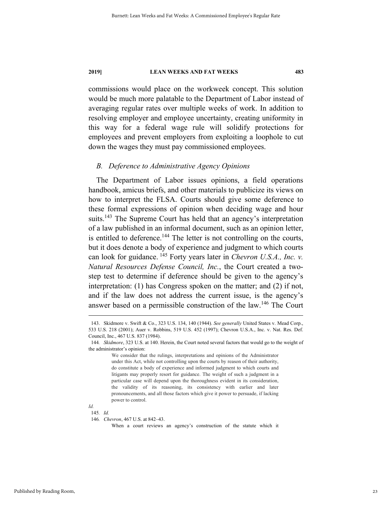commissions would place on the workweek concept. This solution would be much more palatable to the Department of Labor instead of averaging regular rates over multiple weeks of work. In addition to resolving employer and employee uncertainty, creating uniformity in this way for a federal wage rule will solidify protections for employees and prevent employers from exploiting a loophole to cut down the wages they must pay commissioned employees.

# *B. Deference to Administrative Agency Opinions*

The Department of Labor issues opinions, a field operations handbook, amicus briefs, and other materials to publicize its views on how to interpret the FLSA. Courts should give some deference to these formal expressions of opinion when deciding wage and hour suits.<sup>143</sup> The Supreme Court has held that an agency's interpretation of a law published in an informal document, such as an opinion letter, is entitled to deference.<sup>144</sup> The letter is not controlling on the courts, but it does denote a body of experience and judgment to which courts can look for guidance. 145 Forty years later in *Chevron U.S.A., Inc. v. Natural Resources Defense Council, Inc.*, the Court created a twostep test to determine if deference should be given to the agency's interpretation: (1) has Congress spoken on the matter; and (2) if not, and if the law does not address the current issue, is the agency's answer based on a permissible construction of the law.<sup>146</sup> The Court

*Id.* 145*. Id.*

 <sup>143.</sup> Skidmore v. Swift & Co., 323 U.S. 134, 140 (1944). *See generally* United States v. Mead Corp., 533 U.S. 218 (2001); Auer v. Robbins, 519 U.S. 452 (1997); Chevron U.S.A., Inc. v. Nat. Res. Def. Council, Inc., 467 U.S. 837 (1984).

<sup>144</sup>*. Skidmore*, 323 U.S. at 140. Herein, the Court noted several factors that would go to the weight of the administrator's opinion:

We consider that the rulings, interpretations and opinions of the Administrator under this Act, while not controlling upon the courts by reason of their authority, do constitute a body of experience and informed judgment to which courts and litigants may properly resort for guidance. The weight of such a judgment in a particular case will depend upon the thoroughness evident in its consideration, the validity of its reasoning, its consistency with earlier and later pronouncements, and all those factors which give it power to persuade, if lacking power to control.

<sup>146</sup>*. Chevron*, 467 U.S. at 842–43.

When a court reviews an agency's construction of the statute which it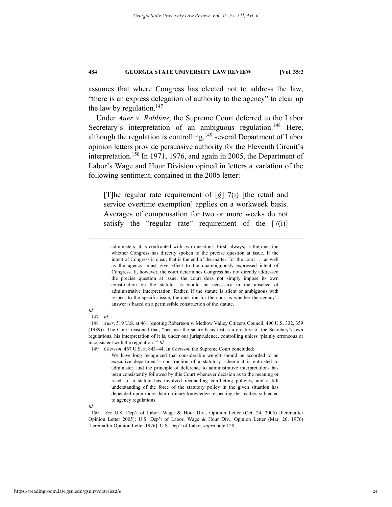assumes that where Congress has elected not to address the law, "there is an express delegation of authority to the agency" to clear up the law by regulation. $147$ 

Under *Auer v. Robbins*, the Supreme Court deferred to the Labor Secretary's interpretation of an ambiguous regulation.<sup>148</sup> Here, although the regulation is controlling, $149$  several Department of Labor opinion letters provide persuasive authority for the Eleventh Circuit's interpretation.<sup>150</sup> In 1971, 1976, and again in 2005, the Department of Labor's Wage and Hour Division opined in letters a variation of the following sentiment, contained in the 2005 letter:

[T]he regular rate requirement of [§] 7(i) [the retail and service overtime exemption] applies on a workweek basis. Averages of compensation for two or more weeks do not satisfy the "regular rate" requirement of the  $[7(i)]$ 

# *Id.*

147*. Id.* 

149*. Chevron*, 467 U.S. at 843–44. In *Chevron*, the Supreme Court concluded:

We have long recognized that considerable weight should be accorded to an executive department's construction of a statutory scheme it is entrusted to administer, and the principle of deference to administrative interpretations has been consistently followed by this Court whenever decision as to the meaning or reach of a statute has involved reconciling conflicting policies, and a full understanding of the force of the statutory policy in the given situation has depended upon more than ordinary knowledge respecting the matters subjected to agency regulations.

*Id.* 

administers, it is confronted with two questions. First, always, is the question whether Congress has directly spoken to the precise question at issue. If the intent of Congress is clear, that is the end of the matter; for the court . . . as well as the agency, must give effect to the unambiguously expressed intent of Congress. If, however, the court determines Congress has not directly addressed the precise question at issue, the court does not simply impose its own construction on the statute, as would be necessary in the absence of administrative interpretation. Rather, if the statute is silent or ambiguous with respect to the specific issue, the question for the court is whether the agency's answer is based on a permissible construction of the statute.

<sup>148</sup>*. Auer*, 519 U.S. at 461 (quoting Robertson v. Methow Valley Citizens Council, 490 U.S. 332, 359 (1989)). The Court reasoned that, "because the salary-basis test is a creature of the Secretary's own regulations, his interpretation of it is, under our jurisprudence, controlling unless 'plainly erroneous or inconsistent with the regulation.'" *Id.*

 <sup>150.</sup> *See* U.S. Dep't of Labor, Wage & Hour Div., Opinion Letter (Oct. 24, 2005) [hereinafter Opinion Letter 2005]; U.S. Dep't of Labor, Wage & Hour Div., Opinion Letter (Mar. 26, 1976) [hereinafter Opinion Letter 1976]; U.S. Dep't of Labor, *supra* note 128.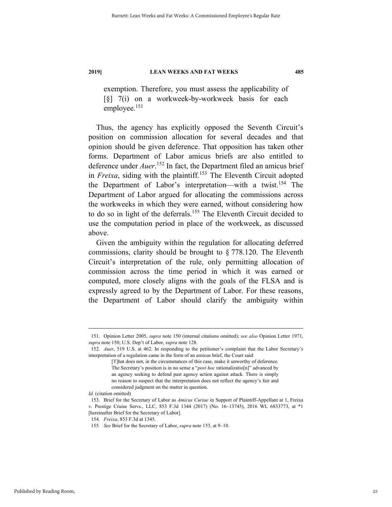exemption. Therefore, you must assess the applicability of [§] 7(i) on a workweek-by-workweek basis for each employee.<sup>151</sup>

Thus, the agency has explicitly opposed the Seventh Circuit's position on commission allocation for several decades and that opinion should be given deference. That opposition has taken other forms. Department of Labor amicus briefs are also entitled to deference under *Auer*. 152 In fact, the Department filed an amicus brief in *Freixa*, siding with the plaintiff.<sup>153</sup> The Eleventh Circuit adopted the Department of Labor's interpretation—with a twist.<sup>154</sup> The Department of Labor argued for allocating the commissions across the workweeks in which they were earned, without considering how to do so in light of the deferrals.155 The Eleventh Circuit decided to use the computation period in place of the workweek, as discussed above.

Given the ambiguity within the regulation for allocating deferred commissions, clarity should be brought to § 778.120. The Eleventh Circuit's interpretation of the rule, only permitting allocation of commission across the time period in which it was earned or computed, more closely aligns with the goals of the FLSA and is expressly agreed to by the Department of Labor. For these reasons, the Department of Labor should clarify the ambiguity within

 <sup>151.</sup> Opinion Letter 2005, *supra* note 150 (internal citations omitted); *see also* Opinion Letter 1971, *supra* note 150; U.S. Dep't of Labor, *supra* note 128.

<sup>152</sup>*. Auer*, 519 U.S. at 462. In responding to the petitioner's complaint that the Labor Secretary's interpretation of a regulation came in the form of an amicus brief, the Court said:

<sup>[</sup>T]hat does not, in the circumstances of this case, make it unworthy of deference. The Secretary's position is in no sense a "*post hoc* rationalizatio[n]" advanced by an agency seeking to defend past agency action against attack. There is simply no reason to suspect that the interpretation does not reflect the agency's fair and considered judgment on the matter in question.

*Id.* (citation omitted)

 <sup>153.</sup> Brief for the Secretary of Labor as *Amicus Curiae* in Support of Plaintiff-Appellant at 1, Freixa v. Prestige Cruise Servs., LLC, 853 F.3d 1344 (2017) (No. 16–13745), 2016 WL 6833773, at \*1 [hereinafter Brief for the Secretary of Labor].

<sup>154</sup>*. Freixa*, 853 F.3d at 1345.

<sup>155</sup>*. See* Brief for the Secretary of Labor, *supra* note 153, at 9–10.